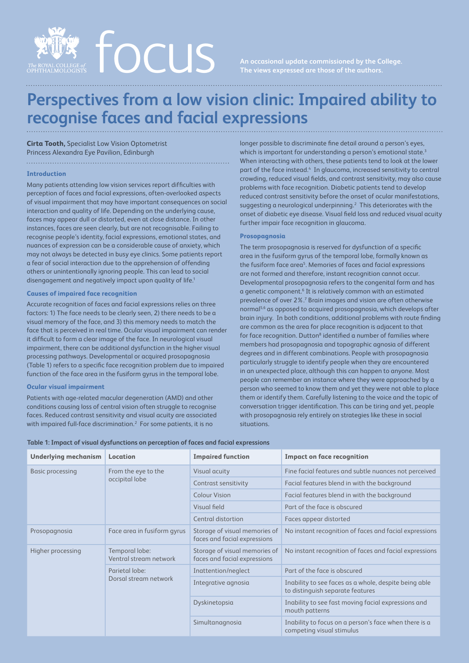

# **Perspectives from a low vision clinic: Impaired ability to recognise faces and facial expressions**

**Cirta Tooth,** Specialist Low Vision Optometrist Princess Alexandra Eye Pavilion, Edinburgh 

## **Introduction**

Many patients attending low vision services report difficulties with perception of faces and facial expressions, often-overlooked aspects of visual impairment that may have important consequences on social interaction and quality of life. Depending on the underlying cause, faces may appear dull or distorted, even at close distance. In other instances, faces are seen clearly, but are not recognisable. Failing to recognise people's identity, facial expressions, emotional states, and nuances of expression can be a considerable cause of anxiety, which may not always be detected in busy eye clinics. Some patients report a fear of social interaction due to the apprehension of offending others or unintentionally ignoring people. This can lead to social disengagement and negatively impact upon quality of life.<sup>1</sup>

#### **Causes of impaired face recognition**

Accurate recognition of faces and facial expressions relies on three factors: 1) The face needs to be clearly seen, 2) there needs to be a visual memory of the face, and 3) this memory needs to match the face that is perceived in real time. Ocular visual impairment can render it difficult to form a clear image of the face. In neurological visual impairment, there can be additional dysfunction in the higher visual processing pathways. Developmental or acquired prosopagnosia (Table 1) refers to a specific face recognition problem due to impaired function of the face area in the fusiform gyrus in the temporal lobe.

#### **Ocular visual impairment**

Patients with age-related macular degeneration (AMD) and other conditions causing loss of central vision often struggle to recognise faces. Reduced contrast sensitivity and visual acuity are associated with impaired full-face discrimination.2 For some patients, it is no

longer possible to discriminate fine detail around a person's eyes, which is important for understanding a person's emotional state.<sup>3</sup> When interacting with others, these patients tend to look at the lower part of the face instead.<sup>4</sup> In glaucoma, increased sensitivity to central crowding, reduced visual fields, and contrast sensitivity, may also cause problems with face recognition. Diabetic patients tend to develop reduced contrast sensitivity before the onset of ocular manifestations, suggesting a neurological underpinning. $2$  This deteriorates with the onset of diabetic eye disease. Visual field loss and reduced visual acuity further impair face recognition in glaucoma.

# **Prosopagnosia**

The term prosopagnosia is reserved for dysfunction of a specific area in the fusiform gyrus of the temporal lobe, formally known as the fusiform face area<sup>5</sup>. Memories of faces and facial expressions are not formed and therefore, instant recognition cannot occur. Developmental prosopagnosia refers to the congenital form and has a genetic component.<sup>6</sup> It is relatively common with an estimated prevalence of over 2%.7 Brain images and vision are often otherwise normal<sup>5,6</sup> as opposed to acquired prosopagnosia, which develops after brain injury. In both conditions, additional problems with route finding are common as the area for place recognition is adjacent to that for face recognition. Dutton<sup>8</sup> identified a number of families where members had prosopagnosia and topographic agnosia of different degrees and in different combinations. People with prosopagnosia particularly struggle to identify people when they are encountered in an unexpected place, although this can happen to anyone. Most people can remember an instance where they were approached by a person who seemed to know them and yet they were not able to place them or identify them. Carefully listening to the voice and the topic of conversation trigger identification. This can be tiring and yet, people with prosopagnosia rely entirely on strategies like these in social situations.

| Table 1: Impact of visual dysfunctions on perception of faces and facial expressions |  |  |  |
|--------------------------------------------------------------------------------------|--|--|--|
|--------------------------------------------------------------------------------------|--|--|--|

| <b>Underlying mechanism</b> | Location                                 | <b>Impaired function</b>                                      | <b>Impact on face recognition</b>                                                         |
|-----------------------------|------------------------------------------|---------------------------------------------------------------|-------------------------------------------------------------------------------------------|
| Basic processing            | From the eye to the<br>occipital lobe    | Visual acuity                                                 | Fine facial features and subtle nuances not perceived                                     |
|                             |                                          | Contrast sensitivity                                          | Facial features blend in with the background                                              |
|                             |                                          | <b>Colour Vision</b>                                          | Facial features blend in with the background                                              |
|                             |                                          | Visual field                                                  | Part of the face is obscured                                                              |
|                             |                                          | Central distortion                                            | Faces appear distorted                                                                    |
| Prosopagnosia               | Face area in fusiform gyrus              | Storage of visual memories of<br>faces and facial expressions | No instant recognition of faces and facial expressions                                    |
| Higher processing           | Temporal lobe:<br>Ventral stream network | Storage of visual memories of<br>faces and facial expressions | No instant recognition of faces and facial expressions                                    |
|                             | Parietal lobe:<br>Dorsal stream network  | Inattention/neglect                                           | Part of the face is obscured                                                              |
|                             |                                          | Integrative agnosia                                           | Inability to see faces as a whole, despite being able<br>to distinguish separate features |
|                             |                                          | Dyskinetopsia                                                 | Inability to see fast moving facial expressions and<br>mouth patterns                     |
|                             |                                          | Simultanagnosia                                               | Inability to focus on a person's face when there is a<br>competing visual stimulus        |